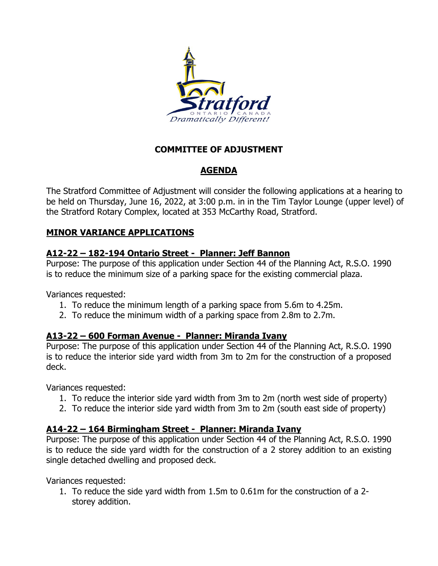

### **COMMITTEE OF ADJUSTMENT**

# **AGENDA**

The Stratford Committee of Adjustment will consider the following applications at a hearing to be held on Thursday, June 16, 2022, at 3:00 p.m. in in the Tim Taylor Lounge (upper level) of the Stratford Rotary Complex, located at 353 McCarthy Road, Stratford.

## **MINOR VARIANCE APPLICATIONS**

#### **A12-22 – 182-194 Ontario Street - Planner: Jeff Bannon**

Purpose: The purpose of this application under Section 44 of the Planning Act, R.S.O. 1990 is to reduce the minimum size of a parking space for the existing commercial plaza.

Variances requested:

- 1. To reduce the minimum length of a parking space from 5.6m to 4.25m.
- 2. To reduce the minimum width of a parking space from 2.8m to 2.7m.

#### **A13-22 – 600 Forman Avenue - Planner: Miranda Ivany**

Purpose: The purpose of this application under Section 44 of the Planning Act, R.S.O. 1990 is to reduce the interior side yard width from 3m to 2m for the construction of a proposed deck.

Variances requested:

- 1. To reduce the interior side yard width from 3m to 2m (north west side of property)
- 2. To reduce the interior side yard width from 3m to 2m (south east side of property)

### **A14-22 – 164 Birmingham Street - Planner: Miranda Ivany**

Purpose: The purpose of this application under Section 44 of the Planning Act, R.S.O. 1990 is to reduce the side yard width for the construction of a 2 storey addition to an existing single detached dwelling and proposed deck.

Variances requested:

1. To reduce the side yard width from 1.5m to 0.61m for the construction of a 2 storey addition.